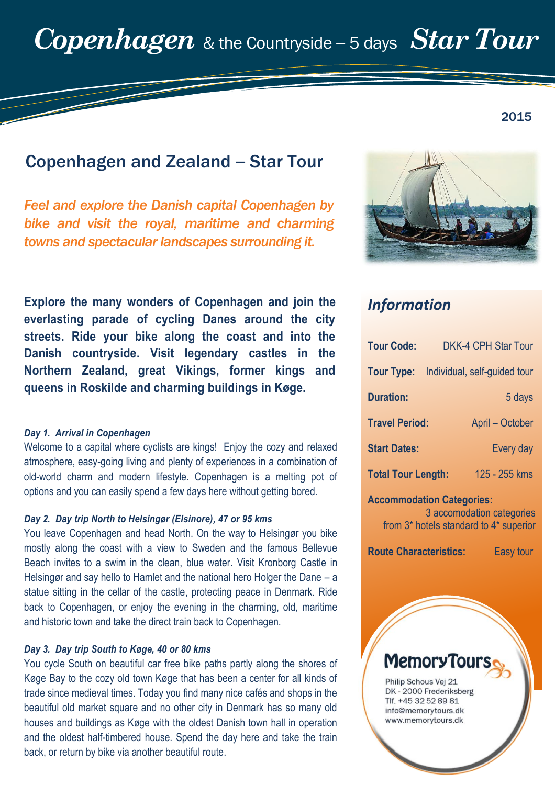# Copenhagen and Zealand – Star Tour

*Feel and explore the Danish capital Copenhagen by bike and visit the royal, maritime and charming towns and spectacular landscapes surrounding it.* 

**Explore the many wonders of Copenhagen and join the everlasting parade of cycling Danes around the city streets. Ride your bike along the coast and into the Danish countryside. Visit legendary castles in the Northern Zealand, great Vikings, former kings and queens in Roskilde and charming buildings in Køge.**

#### *Day 1. Arrival in Copenhagen*

Welcome to a capital where cyclists are kings! Enjoy the cozy and relaxed atmosphere, easy-going living and plenty of experiences in a combination of old-world charm and modern lifestyle. Copenhagen is a melting pot of options and you can easily spend a few days here without getting bored.

#### *Day 2. Day trip North to Helsingør (Elsinore), 47 or 95 kms*

You leave Copenhagen and head North. On the way to Helsingør you bike mostly along the coast with a view to Sweden and the famous Bellevue Beach invites to a swim in the clean, blue water. Visit Kronborg Castle in Helsingør and say hello to Hamlet and the national hero Holger the Dane – a statue sitting in the cellar of the castle, protecting peace in Denmark. Ride back to Copenhagen, or enjoy the evening in the charming, old, maritime and historic town and take the direct train back to Copenhagen.

#### *Day 3. Day trip South to Køge, 40 or 80 kms*

You cycle South on beautiful car free bike paths partly along the shores of Køge Bay to the cozy old town Køge that has been a center for all kinds of trade since medieval times. Today you find many nice cafés and shops in the beautiful old market square and no other city in Denmark has so many old houses and buildings as Køge with the oldest Danish town hall in operation and the oldest half-timbered house. Spend the day here and take the train back, or return by bike via another beautiful route.



# *Information*

| <b>Tour Code:</b>                | <b>DKK-4 CPH Star Tour</b>   |  |  |  |
|----------------------------------|------------------------------|--|--|--|
| <b>Tour Type:</b>                | Individual, self-guided tour |  |  |  |
| <b>Duration:</b>                 | 5 days                       |  |  |  |
| <b>Travel Period:</b>            | April - October              |  |  |  |
| <b>Start Dates:</b>              | Every day                    |  |  |  |
| <b>Total Tour Length:</b>        | 125 - 255 kms                |  |  |  |
| <b>Accommodation Categories:</b> |                              |  |  |  |

3 accomodation categories from 3\* hotels standard to 4\* superior

**Route Characteristics:** Easy tour

# **MemoryTour**

Philip Schous Vej 21 DK - 2000 Frederiksberg Tlf. +45 32 52 89 81 info@memorytours.dk www.memorytours.dk

2015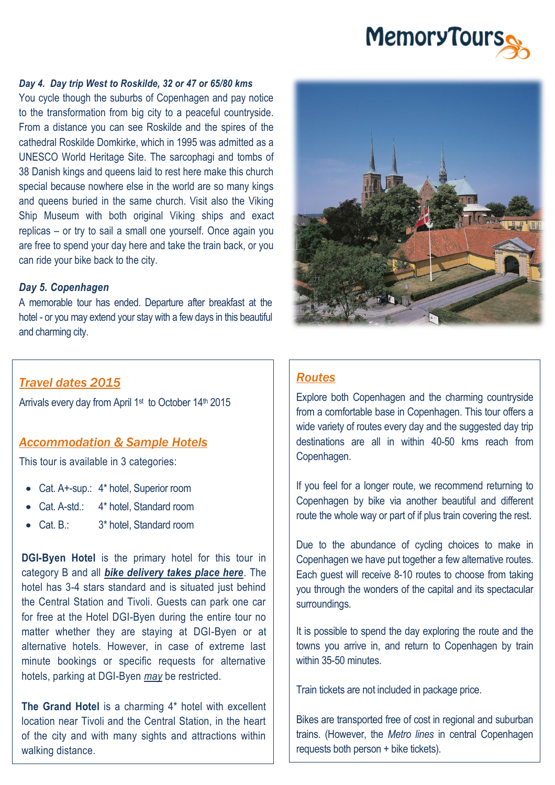# **MemoryTours**

#### *Day 4. Day trip West to Roskilde, 32 or 47 or 65/80 kms*

You cycle though the suburbs of Copenhagen and pay notice to the transformation from big city to a peaceful countryside. From a distance you can see Roskilde and the spires of the cathedral Roskilde Domkirke, which in 1995 was admitted as a UNESCO World Heritage Site. The sarcophagi and tombs of 38 Danish kings and queens laid to rest here make this church special because nowhere else in the world are so many kings and queens buried in the same church. Visit also the Viking Ship Museum with both original Viking ships and exact replicas – or try to sail a small one yourself. Once again you are free to spend your day here and take the train back, or you can ride your bike back to the city.

#### *Day 5. Copenhagen*

A memorable tour has ended. Departure after breakfast at the hotel - or you may extend your stay with a few days in this beautiful and charming city.

#### *Travel dates 2015*

Arrivals every day from April 1<sup>st</sup> to October 14<sup>th</sup> 2015

#### *Accommodation & Sample Hotels*

This tour is available in 3 categories:

- Cat. A+-sup.: 4\* hotel, Superior room
- Cat. A-std.: 4\* hotel, Standard room
- Cat. B.: 3\* hotel, Standard room

**DGI-Byen Hotel** is the primary hotel for this tour in category B and all *bike delivery takes place here*. The hotel has 3-4 stars standard and is situated just behind the Central Station and Tivoli. Guests can park one car for free at the Hotel DGI-Byen during the entire tour no matter whether they are staying at DGI-Byen or at alternative hotels. However, in case of extreme last minute bookings or specific requests for alternative hotels, parking at DGI-Byen *may* be restricted.

**The Grand Hotel** is a charming 4\* hotel with excellent location near Tivoli and the Central Station, in the heart of the city and with many sights and attractions within walking distance.



#### *Routes*

Explore both Copenhagen and the charming countryside from a comfortable base in Copenhagen. This tour offers a wide variety of routes every day and the suggested day trip destinations are all in within 40-50 kms reach from Copenhagen.

If you feel for a longer route, we recommend returning to Copenhagen by bike via another beautiful and different route the whole way or part of if plus train covering the rest.

Due to the abundance of cycling choices to make in Copenhagen we have put together a few alternative routes. Each guest will receive 8-10 routes to choose from taking you through the wonders of the capital and its spectacular surroundings.

It is possible to spend the day exploring the route and the towns you arrive in, and return to Copenhagen by train within 35-50 minutes

Train tickets are not included in package price.

Bikes are transported free of cost in regional and suburban trains. (However, the *Metro lines* in central Copenhagen requests both person + bike tickets).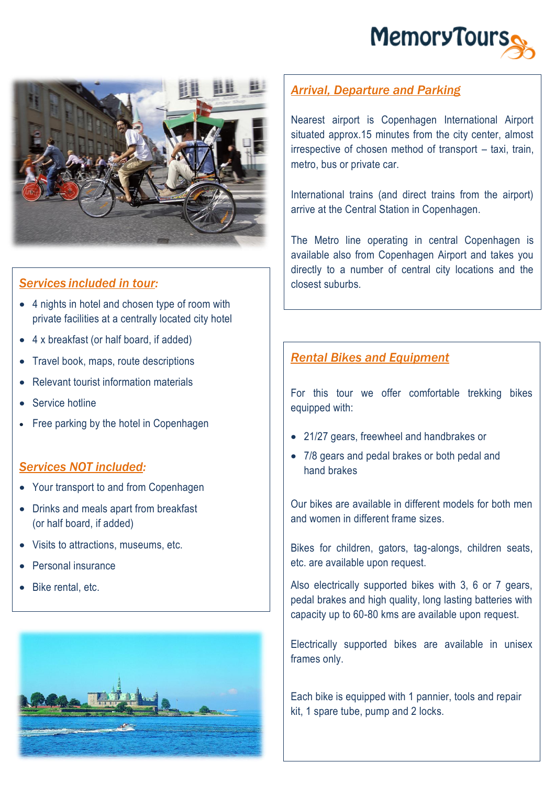



# *Services included in tour:*

- 4 nights in hotel and chosen type of room with private facilities at a centrally located city hotel
- 4 x breakfast (or half board, if added)
- Travel book, maps, route descriptions
- Relevant tourist information materials
- Service hotline
- Free parking by the hotel in Copenhagen

#### *Services NOT included:*

- Your transport to and from Copenhagen
- Drinks and meals apart from breakfast (or half board, if added)
- Visits to attractions, museums, etc.
- Personal insurance
- Bike rental, etc.



## *Arrival, Departure and Parking*

Nearest airport is Copenhagen International Airport situated approx.15 minutes from the city center, almost irrespective of chosen method of transport – taxi, train, metro, bus or private car.

International trains (and direct trains from the airport) arrive at the Central Station in Copenhagen.

The Metro line operating in central Copenhagen is available also from Copenhagen Airport and takes you directly to a number of central city locations and the closest suburbs.

### *Rental Bikes and Equipment*

For this tour we offer comfortable trekking bikes equipped with:

- 21/27 gears, freewheel and handbrakes or
- 7/8 gears and pedal brakes or both pedal and hand brakes

Our bikes are available in different models for both men and women in different frame sizes.

Bikes for children, gators, tag-alongs, children seats, etc. are available upon request.

Also electrically supported bikes with 3, 6 or 7 gears, pedal brakes and high quality, long lasting batteries with capacity up to 60-80 kms are available upon request.

Electrically supported bikes are available in unisex frames only.

Each bike is equipped with 1 pannier, tools and repair kit, 1 spare tube, pump and 2 locks.